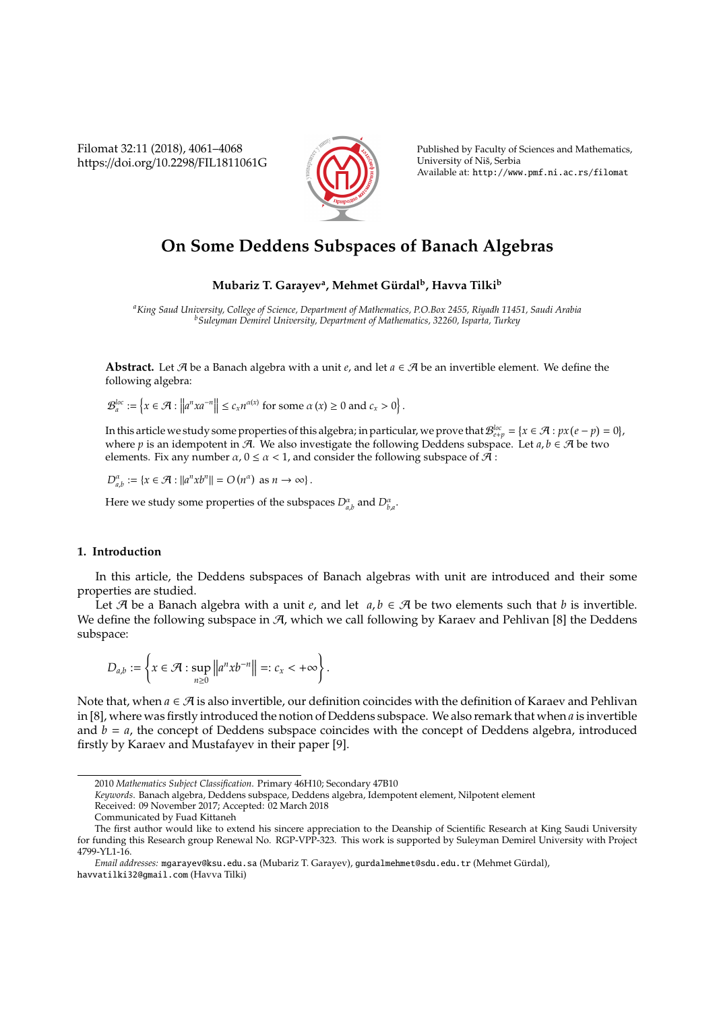Filomat 32:11 (2018), 4061–4068 https://doi.org/10.2298/FIL1811061G



Published by Faculty of Sciences and Mathematics, University of Niš, Serbia Available at: http://www.pmf.ni.ac.rs/filomat

# **On Some Deddens Subspaces of Banach Algebras**

## $\mathbf{M}$ ubariz T. Garayev<sup>a</sup>, Mehmet Gürdal<sup>b</sup>, Havva Tilki<sup>b</sup>

*<sup>a</sup>King Saud University, College of Science, Department of Mathematics, P.O.Box 2455, Riyadh 11451, Saudi Arabia <sup>b</sup>Suleyman Demirel University, Department of Mathematics, 32260, Isparta, Turkey*

**Abstract.** Let A be a Banach algebra with a unit *e*, and let *a* ∈ A be an invertible element. We define the following algebra:

 $\mathcal{B}_a^{loc} := \left\{ x \in \mathcal{A} : \left\| a^n x a^{-n} \right\| \le c_x n^{\alpha(x)} \text{ for some } \alpha(x) \ge 0 \text{ and } c_x > 0 \right\}.$ 

In this article we study some properties of this algebra; in particular, we prove that  $\mathcal{B}^{loc}_{e+p}=\{x\in\mathcal{A}: px\,(e-p)=0\}$ , where *p* is an idempotent in A. We also investigate the following Deddens subspace. Let  $a, b \in \mathcal{A}$  be two elements. Fix any number  $\alpha$ ,  $0 \le \alpha < 1$ , and consider the following subspace of  $\mathcal{A}$ :

 $D_{a,b}^{\alpha} := \{x \in \mathcal{A} : ||a^n x b^n|| = O(n^{\alpha}) \text{ as } n \to \infty\}.$ 

Here we study some properties of the subspaces  $D_{a,b}^{\alpha}$  and  $D_{b,a}^{\alpha}$ .

### **1. Introduction**

In this article, the Deddens subspaces of Banach algebras with unit are introduced and their some properties are studied.

Let A be a Banach algebra with a unit *e*, and let  $a, b \in A$  be two elements such that *b* is invertible. We define the following subspace in  $A$ , which we call following by Karaev and Pehlivan [8] the Deddens subspace:

$$
D_{a,b} := \left\{ x \in \mathcal{A} : \sup_{n \geq 0} \left\| a^n x b^{-n} \right\| =: c_x < +\infty \right\}.
$$

Note that, when  $a \in \mathcal{A}$  is also invertible, our definition coincides with the definition of Karaev and Pehlivan in [8], where was firstly introduced the notion of Deddens subspace. We also remark that when *a* is invertible and  $b = a$ , the concept of Deddens subspace coincides with the concept of Deddens algebra, introduced firstly by Karaev and Mustafayev in their paper [9].

*Keywords*. Banach algebra, Deddens subspace, Deddens algebra, Idempotent element, Nilpotent element

<sup>2010</sup> *Mathematics Subject Classification*. Primary 46H10; Secondary 47B10

Received: 09 November 2017; Accepted: 02 March 2018

Communicated by Fuad Kittaneh

The first author would like to extend his sincere appreciation to the Deanship of Scientific Research at King Saudi University for funding this Research group Renewal No. RGP-VPP-323. This work is supported by Suleyman Demirel University with Project 4799-YL1-16.

*Email addresses:* mgarayev@ksu.edu.sa (Mubariz T. Garayev), gurdalmehmet@sdu.edu.tr (Mehmet Gurdal), ¨ havvatilki32@gmail.com (Havva Tilki)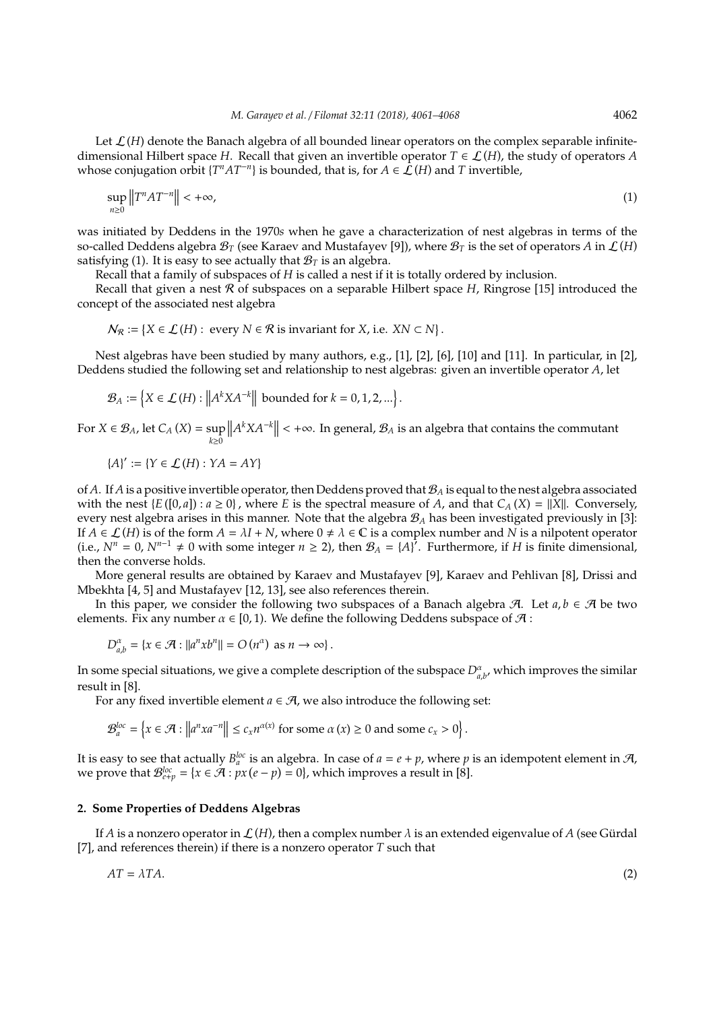Let  $\mathcal{L}(H)$  denote the Banach algebra of all bounded linear operators on the complex separable infinitedimensional Hilbert space *H*. Recall that given an invertible operator  $T \in \mathcal{L}(H)$ , the study of operators *A* whose conjugation orbit  $\{T^nAT^{-n}\}$  is bounded, that is, for  $A \in \mathcal{L}(H)$  and  $T$  invertible,

$$
\sup_{n\geq 0} \|T^n A T^{-n}\| < +\infty,\tag{1}
$$

was initiated by Deddens in the 1970*s* when he gave a characterization of nest algebras in terms of the so-called Deddens algebra  $\mathcal{B}_T$  (see Karaev and Mustafayev [9]), where  $\mathcal{B}_T$  is the set of operators *A* in  $\mathcal{L}(H)$ satisfying (1). It is easy to see actually that  $B_T$  is an algebra.

Recall that a family of subspaces of *H* is called a nest if it is totally ordered by inclusion.

Recall that given a nest R of subspaces on a separable Hilbert space *H*, Ringrose [15] introduced the concept of the associated nest algebra

$$
N_R := \{ X \in \mathcal{L}(H) : \text{every } N \in \mathcal{R} \text{ is invariant for } X, \text{ i.e. } XN \subset N \}.
$$

Nest algebras have been studied by many authors, e.g., [1], [2], [6], [10] and [11]. In particular, in [2], Deddens studied the following set and relationship to nest algebras: given an invertible operator *A*, let

$$
\mathcal{B}_A := \left\{ X \in \mathcal{L}(H) : \left\| A^k X A^{-k} \right\| \text{ bounded for } k = 0, 1, 2, \ldots \right\}.
$$

For  $X \in \mathcal{B}_A$ , let  $C_A(X) = \sup$ *k*≥0  $||A<sup>k</sup>XA<sup>-k</sup>|| < +\infty$ . In general,  $B_A$  is an algebra that contains the commutant

$$
\{A\}' := \{Y \in \mathcal{L}(H) : YA = AY\}
$$

of *A*. If *A* is a positive invertible operator, then Deddens proved that  $B_A$  is equal to the nest algebra associated with the nest  $\{E([0,a]): a \geq 0\}$ , where *E* is the spectral measure of *A*, and that  $C_A(X) = ||X||$ . Conversely, every nest algebra arises in this manner. Note that the algebra B*<sup>A</sup>* has been investigated previously in [3]: If  $A \in \mathcal{L}(H)$  is of the form  $A = \lambda I + N$ , where  $0 \neq \lambda \in \mathbb{C}$  is a complex number and  $N$  is a nilpotent operator (i.e.,  $N^n = 0$ ,  $N^{n-1} \neq 0$  with some integer  $n \ge 2$ ), then  $\mathcal{B}_A = \{A\}^7$ . Furthermore, if *H* is finite dimensional, then the converse holds.

More general results are obtained by Karaev and Mustafayev [9], Karaev and Pehlivan [8], Drissi and Mbekhta [4, 5] and Mustafayev [12, 13], see also references therein.

In this paper, we consider the following two subspaces of a Banach algebra  $\mathcal{A}$ . Let  $a, b \in \mathcal{A}$  be two elements. Fix any number  $\alpha \in [0, 1)$ . We define the following Deddens subspace of  $\mathcal{A}$  :

$$
D_{a,b}^{\alpha} = \{x \in \mathcal{A} : ||a^n x b^n|| = O(n^{\alpha}) \text{ as } n \to \infty\}.
$$

In some special situations, we give a complete description of the subspace  $D^{\alpha}_{a,b'}$ , which improves the similar result in [8].

For any fixed invertible element  $a \in \mathcal{A}$ , we also introduce the following set:

$$
\mathcal{B}_a^{loc} = \left\{ x \in \mathcal{A} : \left\| a^n x a^{-n} \right\| \le c_x n^{\alpha(x)} \text{ for some } \alpha(x) \ge 0 \text{ and some } c_x > 0 \right\}.
$$

It is easy to see that actually  $B_a^{loc}$  is an algebra. In case of  $a = e + p$ , where  $p$  is an idempotent element in A, we prove that  $\mathcal{B}^{loc}_{e+p} = \{x \in \mathcal{A} : px(e-p) = 0\}$ , which improves a result in [8].

### **2. Some Properties of Deddens Algebras**

If *A* is a nonzero operator in  $\mathcal{L}(H)$ , then a complex number  $\lambda$  is an extended eigenvalue of *A* (see Gürdal [7], and references therein) if there is a nonzero operator *T* such that

$$
AT = \lambda TA. \tag{2}
$$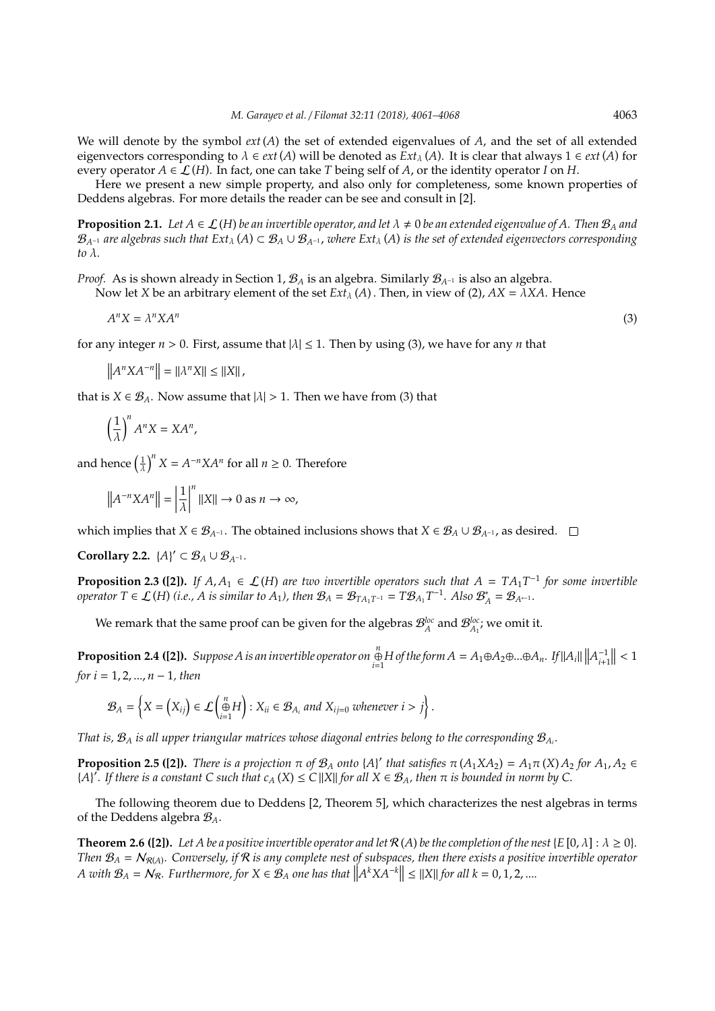We will denote by the symbol  $ext(A)$  the set of extended eigenvalues of  $A$ , and the set of all extended eigenvectors corresponding to  $\lambda \in ext(A)$  will be denoted as  $Ext_{\lambda}(A)$ . It is clear that always  $1 \in ext(A)$  for every operator  $A \in \mathcal{L}(H)$ . In fact, one can take *T* being self of *A*, or the identity operator *I* on *H*.

Here we present a new simple property, and also only for completeness, some known properties of Deddens algebras. For more details the reader can be see and consult in [2].

**Proposition 2.1.** Let  $A \in \mathcal{L}(H)$  be an invertible operator, and let  $\lambda \neq 0$  be an extended eigenvalue of A. Then  $\mathcal{B}_A$  and  $B_{A^{-1}}$  *are algebras such that* Ext<sub>λ</sub> (*A*) ⊂  $B_A ∪ B_{A^{-1}}$ , *where Ext*<sub>λ</sub> (*A*) *is the set of extended eigenvectors corresponding to* λ*.*

*Proof.* As is shown already in Section 1,  $\mathcal{B}_A$  is an algebra. Similarly  $\mathcal{B}_{A^{-1}}$  is also an algebra. Now let *X* be an arbitrary element of the set  $Ext_{\lambda}(A)$ . Then, in view of (2),  $AX = \lambda XA$ . Hence

$$
A^n X = \lambda^n X A^n \tag{3}
$$

for any integer  $n > 0$ . First, assume that  $|\lambda| \leq 1$ . Then by using (3), we have for any *n* that

 $||A^n X A^{-n}|| = ||\lambda^n X|| \le ||X||$ 

that is  $X \in \mathcal{B}_A$ . Now assume that  $|\lambda| > 1$ . Then we have from (3) that

$$
\left(\frac{1}{\lambda}\right)^n A^n X = X A^n,
$$

and hence  $\left(\frac{1}{\lambda}\right)^n X = A^{-n} X A^n$  for all  $n \geq 0$ . Therefore

$$
\left\|A^{-n}XA^{n}\right\| = \left|\frac{1}{\lambda}\right|^{n} \left\|X\right\| \to 0 \text{ as } n \to \infty,
$$

which implies that *X* ∈  $\mathcal{B}_{A^{-1}}$ . The obtained inclusions shows that *X* ∈  $\mathcal{B}_{A} \cup \mathcal{B}_{A^{-1}}$ , as desired.  $\Box$ 

**Corollary 2.2.**  $\{A\}' \subset \mathcal{B}_A \cup \mathcal{B}_{A^{-1}}$ *.* 

**Proposition 2.3 ([2]).** *If*  $A, A_1 \in \mathcal{L}(H)$  are two invertible operators such that  $A = TA_1T^{-1}$  for some invertible *operator*  $T \in \mathcal{L}(H)$  (*i.e., A is similar to A*<sub>1</sub>), then  $\mathcal{B}_A = \mathcal{B}_{TA_1T^{-1}} = T\mathcal{B}_{A_1}T^{-1}$ . Also  $\mathcal{B}_A^* = \mathcal{B}_{A^{*-1}}$ .

We remark that the same proof can be given for the algebras  $\mathcal{B}_{A}^{loc}$  and  $\mathcal{B}_{A_1}^{loc}$ ; we omit it.

**Proposition 2.4 ([2]).** Suppose A is an invertible operator on ⊕  $\lim_{i=1}^{n}$  *H* of the form  $A = A_1 ⊕ A_2 ⊕ ... ⊕ A_n$ *.* If  $||A_i|| ||A_{i+1}^{-1}|| < 1$ *for i* = 1, 2, ..., *n* − 1*, then*

$$
\mathcal{B}_A = \left\{ X = \left( X_{ij} \right) \in \mathcal{L} \left( \bigoplus_{i=1}^n H \right) : X_{ii} \in \mathcal{B}_{A_i} \text{ and } X_{ij=0} \text{ whenever } i > j \right\}.
$$

*That is,*  $\mathcal{B}_A$  *is all upper triangular matrices whose diagonal entries belong to the corresponding*  $\mathcal{B}_{A_i}$ *.* 

**Proposition 2.5 ([2]).** *There is a projection*  $\pi$  *of*  $\mathcal{B}_A$  *onto*  $\{A\}'$  *that satisfies*  $\pi$   $(A_1 X A_2) = A_1 \pi$   $(X) A_2$  *for*  $A_1, A_2 \in$  ${A'}$ . If there is a constant C such that  $c_A(X) \leq C ||X||$  for all  $X \in \mathcal{B}_A$ , then  $\pi$  is bounded in norm by C.

The following theorem due to Deddens [2, Theorem 5], which characterizes the nest algebras in terms of the Deddens algebra B*A*.

**Theorem 2.6 ([2]).** Let A be a positive invertible operator and let  $\mathcal{R}(A)$  be the completion of the nest { $E$  [0,  $\lambda$ ] :  $\lambda \ge 0$ }. *Then*  $B_A = N_{R(A)}$ . Conversely, if R is any complete nest of subspaces, then there exists a positive invertible operator *A* with  $\mathcal{B}_A = \mathcal{N}_{\mathcal{R}}$ . Furthermore, for  $X \in \mathcal{B}_A$  one has that  $||A^k X A^{-k}|| \leq ||X||$  for all  $k = 0, 1, 2, ...$ 

(3)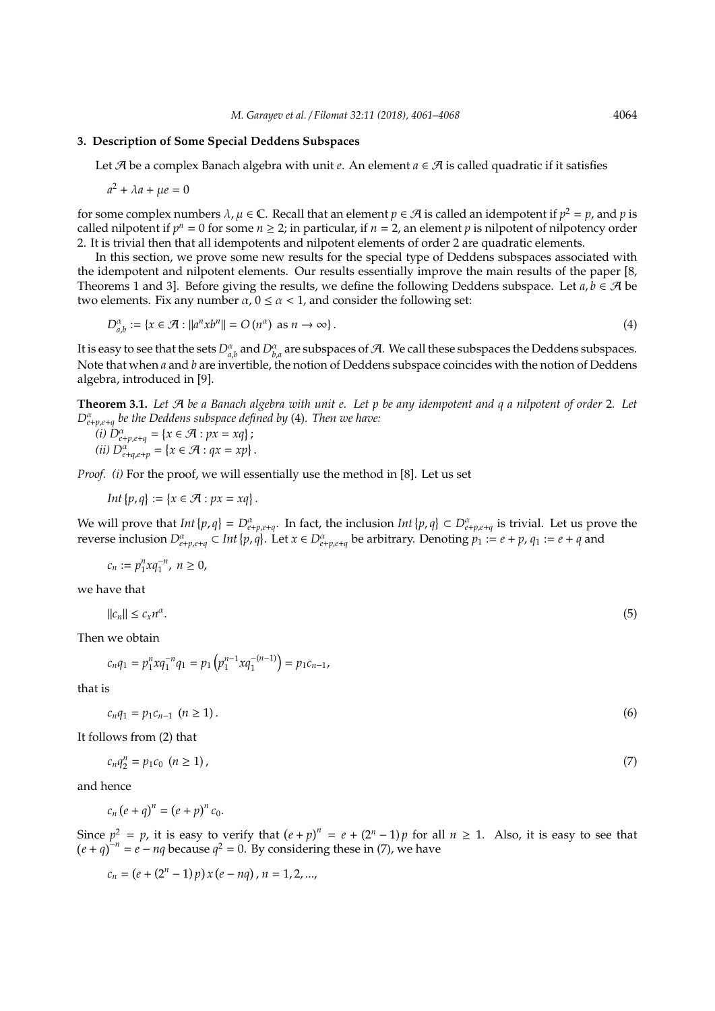## **3. Description of Some Special Deddens Subspaces**

Let A be a complex Banach algebra with unit *e*. An element *a* ∈ A is called quadratic if it satisfies

$$
a^2 + \lambda a + \mu e = 0
$$

for some complex numbers  $\lambda$ ,  $\mu \in \mathbb{C}$ . Recall that an element  $p \in \mathcal{A}$  is called an idempotent if  $p^2 = p$ , and  $p$  is called nilpotent if  $p^n = 0$  for some  $n \ge 2$ ; in particular, if  $n = 2$ , an element  $p$  is nilpotent of nilpotency order 2. It is trivial then that all idempotents and nilpotent elements of order 2 are quadratic elements.

In this section, we prove some new results for the special type of Deddens subspaces associated with the idempotent and nilpotent elements. Our results essentially improve the main results of the paper [8, Theorems 1 and 3]. Before giving the results, we define the following Deddens subspace. Let  $a, b \in \mathcal{A}$  be two elements. Fix any number  $\alpha$ ,  $0 \le \alpha < 1$ , and consider the following set:

$$
D_{a,b}^{\alpha} := \{ x \in \mathcal{A} : ||a^n x b^n|| = O(n^{\alpha}) \text{ as } n \to \infty \}.
$$
 (4)

It is easy to see that the sets  $D^{\alpha}_{a,b}$  and  $D^{\alpha}_{b,a}$  are subspaces of  $A$ . We call these subspaces the Deddens subspaces. Note that when *a* and *b* are invertible, the notion of Deddens subspace coincides with the notion of Deddens algebra, introduced in [9].

**Theorem 3.1.** *Let* A *be a Banach algebra with unit e. Let p be any idempotent and q a nilpotent of order* 2*. Let D*<sup>α</sup> *e*+*p*,*e*+*q be the Deddens subspace defined by* (4)*. Then we have:*

 $(i)$   $D_{e+p,e+q}^{\alpha} = \{x \in \mathcal{A} : px = xq\};$ *(ii)*  $D_{e+q,e+p}^{\alpha} = \{x \in \mathcal{A} : qx = xp\}$ .

*Proof.* (*i*) For the proof, we will essentially use the method in [8]. Let us set

*Int*  $\{p,q\} := \{x \in \mathcal{A} : px = xq\}.$ 

We will prove that  $Int\{p,q\} = D^{\alpha}_{e+p,e+q}$ . In fact, the inclusion  $Int\{p,q\} \subset D^{\alpha}_{e+p,e+q}$  is trivial. Let us prove the reverse inclusion  $D_{e+p,e+q}^{\alpha} \subset Int\{p,q\}$ . Let  $x \in D_{e+p,e+q}^{\alpha}$  be arbitrary. Denoting  $p_1 := e+p$ ,  $q_1 := e+q$  and

$$
c_n:=p_1^n xq_1^{-n},\; n\geq 0,
$$

we have that

$$
||c_n|| \leq c_x n^{\alpha}.\tag{5}
$$

Then we obtain

$$
c_n q_1 = p_1^n x q_1^{-n} q_1 = p_1 \left( p_1^{n-1} x q_1^{-(n-1)} \right) = p_1 c_{n-1},
$$

that is

$$
c_n q_1 = p_1 c_{n-1} \quad (n \ge 1).
$$

It follows from (2) that

$$
c_n q_2^n = p_1 c_0 \ (n \ge 1), \tag{7}
$$

and hence

$$
c_n (e+q)^n = (e+p)^n c_0.
$$

Since  $p^2 = p$ , it is easy to verify that  $(e+p)^n = e + (2^n - 1)p$  for all  $n \ge 1$ . Also, it is easy to see that  $(e+q)^{-n} = e - nq$  because  $q^2 = 0$ . By considering these in (7), we have

$$
c_n = (e + (2^n - 1)p) x (e - nq), n = 1, 2, ...,
$$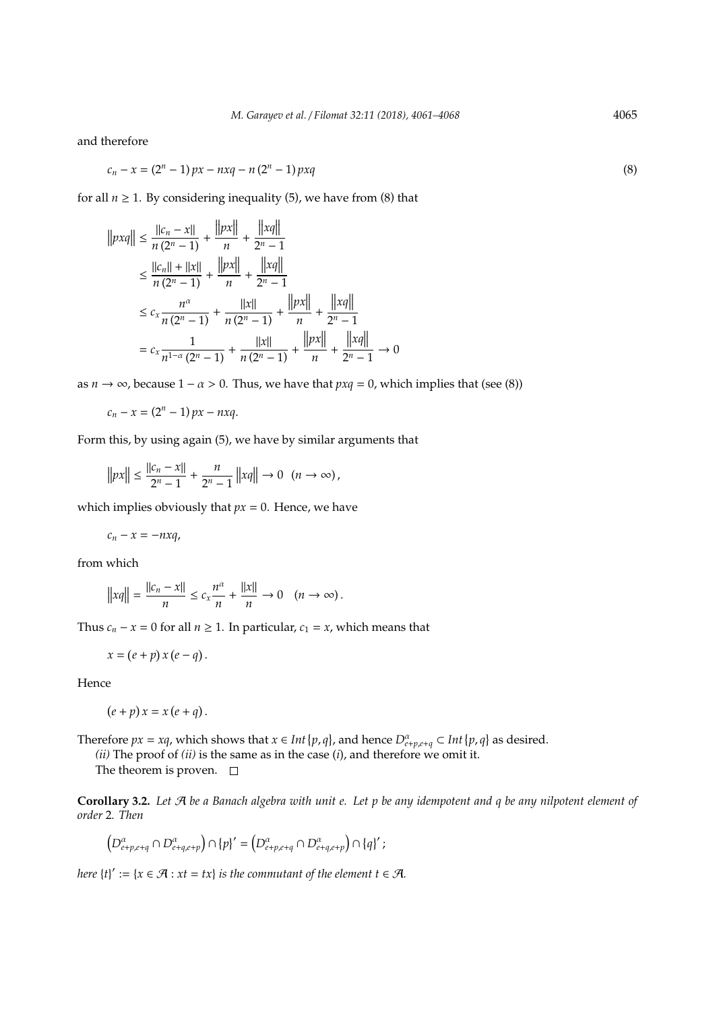and therefore

$$
c_n - x = (2^n - 1)px - nxq - n(2^n - 1)pxq
$$
\n(8)

for all  $n \geq 1$ . By considering inequality (5), we have from (8) that

$$
||pxq|| \le \frac{||c_n - x||}{n(2^n - 1)} + \frac{||px||}{n} + \frac{||xq||}{2^n - 1}
$$
  
\n
$$
\le \frac{||c_n|| + ||x||}{n(2^n - 1)} + \frac{||px||}{n} + \frac{||xq||}{2^n - 1}
$$
  
\n
$$
\le c_x \frac{n^{\alpha}}{n(2^n - 1)} + \frac{||x||}{n(2^n - 1)} + \frac{||px||}{n} + \frac{||xq||}{2^n - 1}
$$
  
\n
$$
= c_x \frac{1}{n^{1-\alpha}(2^n - 1)} + \frac{||x||}{n(2^n - 1)} + \frac{||px||}{n} + \frac{||xq||}{2^n - 1} \to 0
$$

as *n*  $\rightarrow \infty$ , because 1 – *a* > 0. Thus, we have that *pxq* = 0, which implies that (see (8))

$$
c_n - x = (2^n - 1) px - nxq.
$$

Form this, by using again (5), we have by similar arguments that

$$
||px|| \le \frac{||c_n - x||}{2^n - 1} + \frac{n}{2^n - 1} ||xq|| \to 0 \quad (n \to \infty),
$$

which implies obviously that  $px = 0$ . Hence, we have

$$
c_n - x = -nxq,
$$

from which

$$
||xq|| = \frac{||c_n - x||}{n} \le c_x \frac{n^{\alpha}}{n} + \frac{||x||}{n} \to 0 \quad (n \to \infty).
$$

Thus  $c_n - x = 0$  for all  $n \ge 1$ . In particular,  $c_1 = x$ , which means that

$$
x = (e + p) x (e - q).
$$

Hence

$$
(e+p)x = x(e+q).
$$

Therefore  $px = xq$ , which shows that  $x \in Int\{p, q\}$ , and hence  $D_{e+p,e+q}^{\alpha} \subset Int\{p, q\}$  as desired.

*(ii)* The proof of *(ii)* is the same as in the case (*i*), and therefore we omit it. The theorem is proven.  $\square$ 

**Corollary 3.2.** *Let* A *be a Banach algebra with unit e. Let p be any idempotent and q be any nilpotent element of order* 2*. Then*

$$
\left(D^{\alpha}_{e+p,e+q}\cap D^{\alpha}_{e+q,e+p}\right)\cap \{p\}'=\left(D^{\alpha}_{e+p,e+q}\cap D^{\alpha}_{e+q,e+p}\right)\cap \{q\}'\ ;
$$

*here*  ${t}'_i := {x \in \mathcal{A} : xt = tx}$  *is the commutant of the element*  $t \in \mathcal{A}$ *.*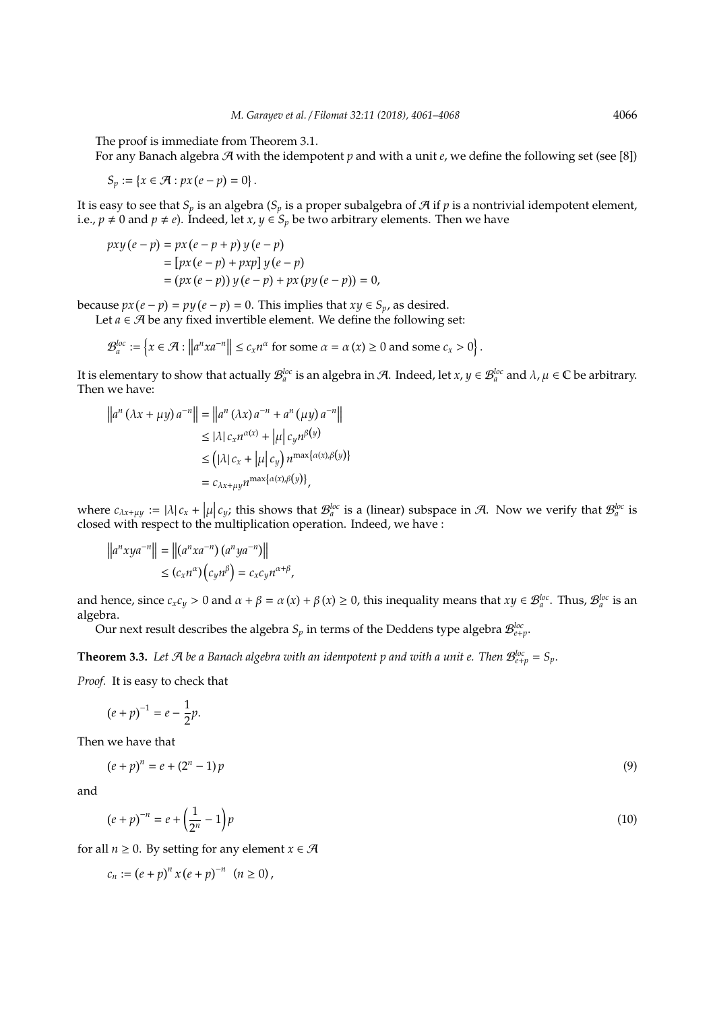The proof is immediate from Theorem 3.1.

For any Banach algebra  $\mathcal{A}$  with the idempotent *p* and with a unit *e*, we define the following set (see [8])

$$
S_p := \{x \in \mathcal{A} : px(e - p) = 0\}.
$$

It is easy to see that  $S_p$  is an algebra ( $S_p$  is a proper subalgebra of  $\mathcal A$  if  $p$  is a nontrivial idempotent element, i.e.,  $p \neq 0$  and  $p \neq e$ ). Indeed, let *x*,  $y \in S_p$  be two arbitrary elements. Then we have

$$
pxy (e-p) = px (e-p+p) y (e-p)
$$
  
= [px (e-p) + pxp] y (e-p)  
= (px (e-p)) y (e-p) + px (py (e-p)) = 0,

because  $px(e - p) = py(e - p) = 0$ . This implies that  $xy \in S_p$ , as desired.

Let  $a \in \mathcal{A}$  be any fixed invertible element. We define the following set:

$$
\mathcal{B}_a^{loc} := \left\{ x \in \mathcal{A} : \left\| a^n x a^{-n} \right\| \le c_x n^{\alpha} \text{ for some } \alpha = \alpha(x) \ge 0 \text{ and some } c_x > 0 \right\}.
$$

It is elementary to show that actually  $\mathcal{B}_a^{loc}$  is an algebra in A. Indeed, let  $x,y\in\mathcal{B}_a^{loc}$  and  $\lambda$ ,  $\mu\in\mathbb{C}$  be arbitrary. Then we have:

$$
||a^{n} (\lambda x + \mu y) a^{-n}|| = ||a^{n} (\lambda x) a^{-n} + a^{n} (\mu y) a^{-n}||
$$
  
\n
$$
\leq |\lambda| c_{x} n^{\alpha(x)} + |\mu| c_{y} n^{\beta(y)}
$$
  
\n
$$
\leq (|\lambda| c_{x} + |\mu| c_{y}) n^{\max{\alpha(x), \beta(y)}}
$$
  
\n
$$
= c_{\lambda x + \mu y} n^{\max{\alpha(x), \beta(y)}}
$$

where  $c_{\lambda x + \mu y} := |\lambda| c_x + |\mu| c_y$ ; this shows that  $\mathcal{B}_a^{\text{loc}}$  is a (linear) subspace in A. Now we verify that  $\mathcal{B}_a^{\text{loc}}$  is alsoed with removing the the multiplication energies. Indeed we have closed with respect to the multiplication operation. Indeed, we have :

$$
||a^n xy a^{-n}|| = ||(a^n xa^{-n})(a^n ya^{-n})||
$$
  
\n
$$
\leq (c_x n^{\alpha})(c_y n^{\beta}) = c_x c_y n^{\alpha+\beta},
$$

and hence, since  $c_x c_y > 0$  and  $\alpha + \beta = \alpha(x) + \beta(x) \ge 0$ , this inequality means that  $xy \in \mathcal{B}_a^{loc}$ . Thus,  $\mathcal{B}_a^{loc}$  is an algebra.

Our next result describes the algebra  $S_p$  in terms of the Deddens type algebra  $\mathcal{B}^{loc}_{e+p}.$ 

**Theorem 3.3.** Let A be a Banach algebra with an idempotent p and with a unit e. Then  $\mathcal{B}^{loc}_{e+p} = S_p$ .

*Proof.* It is easy to check that

$$
(e+p)^{-1}=e-\frac{1}{2}p.
$$

Then we have that

$$
(e+p)^n = e + (2^n - 1)p
$$
\n(9)

and

$$
(e+p)^{-n} = e + \left(\frac{1}{2^n} - 1\right)p\tag{10}
$$

for all  $n \geq 0$ . By setting for any element  $x \in \mathcal{A}$ 

$$
c_n := (e + p)^n x (e + p)^{-n} \quad (n \ge 0),
$$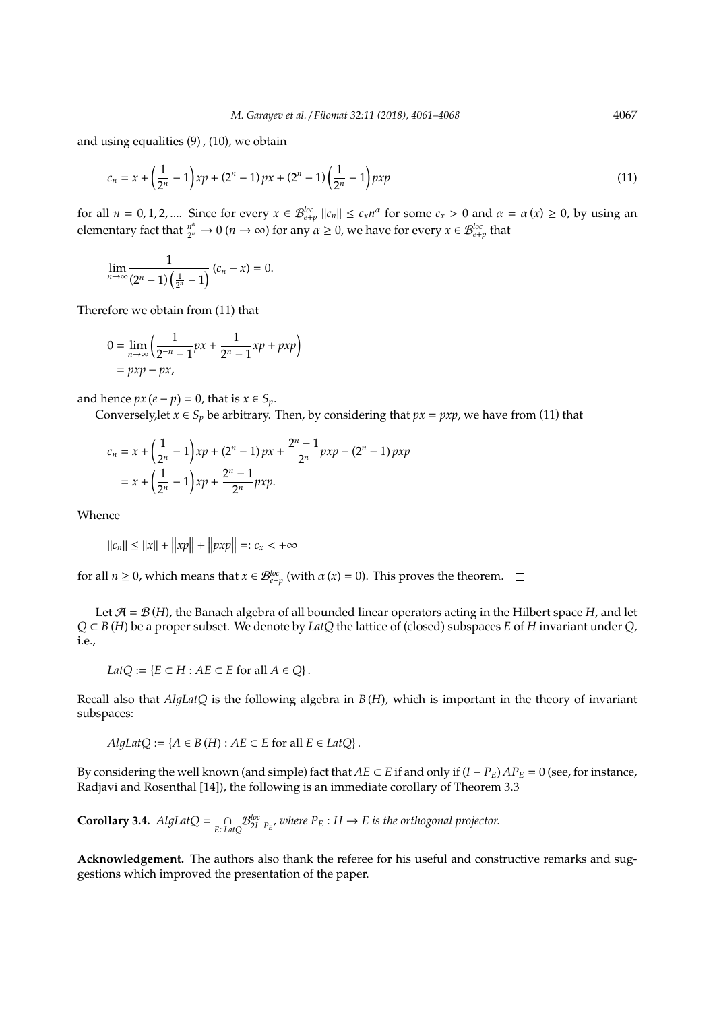and using equalities (9) , (10), we obtain

$$
c_n = x + \left(\frac{1}{2^n} - 1\right) x p + \left(2^n - 1\right) p x + \left(2^n - 1\right) \left(\frac{1}{2^n} - 1\right) p x p \tag{11}
$$

for all  $n = 0, 1, 2, ...$  Since for every  $x \in \mathcal{B}_{e+p}^{loc} ||c_n|| \le c_x n^{\alpha}$  for some  $c_x > 0$  and  $\alpha = \alpha(x) \ge 0$ , by using an elementary fact that *<sup>n</sup>* α  $\frac{n^{\alpha}}{2^{n}} \to 0$   $(n \to \infty)$  for any  $\alpha \ge 0$ , we have for every  $x \in \mathcal{B}^{loc}_{e+p}$  that

$$
\lim_{n\to\infty}\frac{1}{(2^n-1)\left(\frac{1}{2^n}-1\right)}(c_n-x)=0.
$$

Therefore we obtain from (11) that

$$
0 = \lim_{n \to \infty} \left( \frac{1}{2^{-n} - 1} px + \frac{1}{2^n - 1} xp + pxp \right)
$$
  
=  $pxp - px$ ,

and hence  $px(e - p) = 0$ , that is  $x \in S_p$ .

Conversely, let  $x \in S_p$  be arbitrary. Then, by considering that  $px = pxp$ , we have from (11) that

$$
c_n = x + \left(\frac{1}{2^n} - 1\right) x p + \left(2^n - 1\right) p x + \frac{2^n - 1}{2^n} p x p - \left(2^n - 1\right) p x p
$$
  
=  $x + \left(\frac{1}{2^n} - 1\right) x p + \frac{2^n - 1}{2^n} p x p.$ 

Whence

 $||c_n|| \le ||x|| + ||xp|| + ||pxp|| =: c_x < +\infty$ 

for all  $n \ge 0$ , which means that  $x \in \mathcal{B}_{e+p}^{loc}$  (with  $\alpha(x) = 0$ ). This proves the theorem.

Let  $\mathcal{A} = \mathcal{B}(H)$ , the Banach algebra of all bounded linear operators acting in the Hilbert space H, and let *Q* ⊂ *B* (*H*) be a proper subset. We denote by *LatQ* the lattice of (closed) subspaces *E* of *H* invariant under *Q*, i.e.,

$$
LatQ := \{ E \subset H : AE \subset E \text{ for all } A \in Q \}.
$$

Recall also that *AlgLatQ* is the following algebra in *B*(*H*), which is important in the theory of invariant subspaces:

$$
AlgLatQ := \{ A \in B(H) : AE \subset E \text{ for all } E \in LatQ \}.
$$

By considering the well known (and simple) fact that *AE* ⊂ *E* if and only if  $(I - P_E)$  *AP*<sub>*E*</sub> = 0 (see, for instance, Radjavi and Rosenthal [14]), the following is an immediate corollary of Theorem 3.3

**Corollary 3.4.**  $AlgLatQ = \bigcap_{E \in LatQ}$  $\mathcal{B}^{\text{loc}}_{2I-P_E}$ , where  $P_E: H \to E$  is the orthogonal projector.

**Acknowledgement.** The authors also thank the referee for his useful and constructive remarks and suggestions which improved the presentation of the paper.